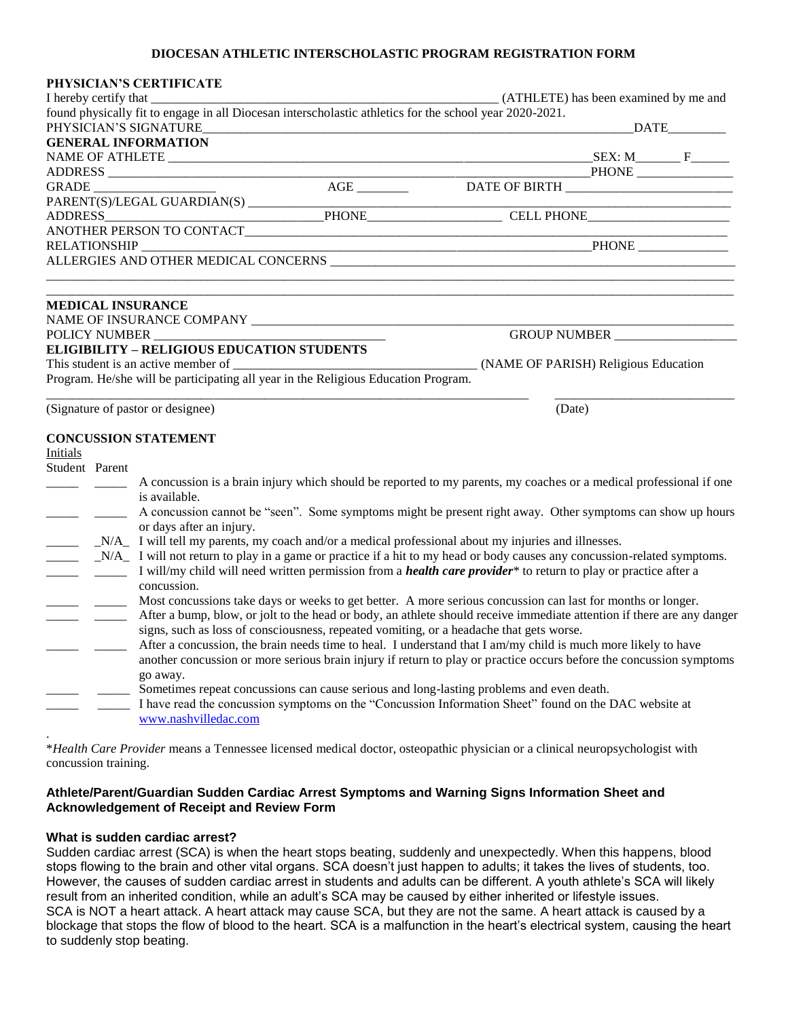#### **DIOCESAN ATHLETIC INTERSCHOLASTIC PROGRAM REGISTRATION FORM**

|                                                                                                                                                                                                                                                                                                                                                                                                                                                                  |                                                                                                                                                                                                                                                                       | PHYSICIAN'S CERTIFICATE                                                                                            |  |                                                                                                                     |        |                                     |  |
|------------------------------------------------------------------------------------------------------------------------------------------------------------------------------------------------------------------------------------------------------------------------------------------------------------------------------------------------------------------------------------------------------------------------------------------------------------------|-----------------------------------------------------------------------------------------------------------------------------------------------------------------------------------------------------------------------------------------------------------------------|--------------------------------------------------------------------------------------------------------------------|--|---------------------------------------------------------------------------------------------------------------------|--------|-------------------------------------|--|
|                                                                                                                                                                                                                                                                                                                                                                                                                                                                  |                                                                                                                                                                                                                                                                       |                                                                                                                    |  | (ATHLETE) has been examined by me and                                                                               |        |                                     |  |
|                                                                                                                                                                                                                                                                                                                                                                                                                                                                  |                                                                                                                                                                                                                                                                       | PHYSICIAN'S SIGNATURE                                                                                              |  | found physically fit to engage in all Diocesan interscholastic athletics for the school year 2020-2021.             |        |                                     |  |
|                                                                                                                                                                                                                                                                                                                                                                                                                                                                  |                                                                                                                                                                                                                                                                       | <b>GENERAL INFORMATION</b>                                                                                         |  |                                                                                                                     |        |                                     |  |
|                                                                                                                                                                                                                                                                                                                                                                                                                                                                  |                                                                                                                                                                                                                                                                       |                                                                                                                    |  |                                                                                                                     |        |                                     |  |
|                                                                                                                                                                                                                                                                                                                                                                                                                                                                  |                                                                                                                                                                                                                                                                       |                                                                                                                    |  |                                                                                                                     |        |                                     |  |
|                                                                                                                                                                                                                                                                                                                                                                                                                                                                  |                                                                                                                                                                                                                                                                       |                                                                                                                    |  |                                                                                                                     |        |                                     |  |
|                                                                                                                                                                                                                                                                                                                                                                                                                                                                  |                                                                                                                                                                                                                                                                       |                                                                                                                    |  |                                                                                                                     |        |                                     |  |
| ANOTHER PERSON TO CONTACT                                                                                                                                                                                                                                                                                                                                                                                                                                        |                                                                                                                                                                                                                                                                       |                                                                                                                    |  |                                                                                                                     |        |                                     |  |
|                                                                                                                                                                                                                                                                                                                                                                                                                                                                  |                                                                                                                                                                                                                                                                       |                                                                                                                    |  |                                                                                                                     |        | and the contract of the contract of |  |
| RELATIONSHIP                                                                                                                                                                                                                                                                                                                                                                                                                                                     |                                                                                                                                                                                                                                                                       |                                                                                                                    |  |                                                                                                                     |        |                                     |  |
|                                                                                                                                                                                                                                                                                                                                                                                                                                                                  |                                                                                                                                                                                                                                                                       |                                                                                                                    |  |                                                                                                                     |        |                                     |  |
|                                                                                                                                                                                                                                                                                                                                                                                                                                                                  |                                                                                                                                                                                                                                                                       |                                                                                                                    |  |                                                                                                                     |        |                                     |  |
|                                                                                                                                                                                                                                                                                                                                                                                                                                                                  |                                                                                                                                                                                                                                                                       | <b>MEDICAL INSURANCE</b>                                                                                           |  |                                                                                                                     |        |                                     |  |
|                                                                                                                                                                                                                                                                                                                                                                                                                                                                  |                                                                                                                                                                                                                                                                       |                                                                                                                    |  |                                                                                                                     |        |                                     |  |
| POLICY NUMBER                                                                                                                                                                                                                                                                                                                                                                                                                                                    |                                                                                                                                                                                                                                                                       |                                                                                                                    |  | GROUP NUMBER                                                                                                        |        |                                     |  |
|                                                                                                                                                                                                                                                                                                                                                                                                                                                                  |                                                                                                                                                                                                                                                                       | <b>ELIGIBILITY - RELIGIOUS EDUCATION STUDENTS</b>                                                                  |  |                                                                                                                     |        |                                     |  |
|                                                                                                                                                                                                                                                                                                                                                                                                                                                                  |                                                                                                                                                                                                                                                                       |                                                                                                                    |  |                                                                                                                     |        |                                     |  |
|                                                                                                                                                                                                                                                                                                                                                                                                                                                                  |                                                                                                                                                                                                                                                                       | Program. He/she will be participating all year in the Religious Education Program.                                 |  |                                                                                                                     |        |                                     |  |
|                                                                                                                                                                                                                                                                                                                                                                                                                                                                  |                                                                                                                                                                                                                                                                       |                                                                                                                    |  |                                                                                                                     |        |                                     |  |
| (Signature of pastor or designee)                                                                                                                                                                                                                                                                                                                                                                                                                                |                                                                                                                                                                                                                                                                       |                                                                                                                    |  |                                                                                                                     | (Date) |                                     |  |
|                                                                                                                                                                                                                                                                                                                                                                                                                                                                  |                                                                                                                                                                                                                                                                       | <b>CONCUSSION STATEMENT</b>                                                                                        |  |                                                                                                                     |        |                                     |  |
| Initials                                                                                                                                                                                                                                                                                                                                                                                                                                                         |                                                                                                                                                                                                                                                                       |                                                                                                                    |  |                                                                                                                     |        |                                     |  |
| Student Parent                                                                                                                                                                                                                                                                                                                                                                                                                                                   |                                                                                                                                                                                                                                                                       |                                                                                                                    |  |                                                                                                                     |        |                                     |  |
|                                                                                                                                                                                                                                                                                                                                                                                                                                                                  |                                                                                                                                                                                                                                                                       | A concussion is a brain injury which should be reported to my parents, my coaches or a medical professional if one |  |                                                                                                                     |        |                                     |  |
|                                                                                                                                                                                                                                                                                                                                                                                                                                                                  |                                                                                                                                                                                                                                                                       | is available.                                                                                                      |  |                                                                                                                     |        |                                     |  |
| A concussion cannot be "seen". Some symptoms might be present right away. Other symptoms can show up hours                                                                                                                                                                                                                                                                                                                                                       |                                                                                                                                                                                                                                                                       |                                                                                                                    |  |                                                                                                                     |        |                                     |  |
|                                                                                                                                                                                                                                                                                                                                                                                                                                                                  |                                                                                                                                                                                                                                                                       | or days after an injury.                                                                                           |  |                                                                                                                     |        |                                     |  |
| _N/A_ I will tell my parents, my coach and/or a medical professional about my injuries and illnesses.                                                                                                                                                                                                                                                                                                                                                            |                                                                                                                                                                                                                                                                       |                                                                                                                    |  |                                                                                                                     |        |                                     |  |
|                                                                                                                                                                                                                                                                                                                                                                                                                                                                  | _N/A_ I will not return to play in a game or practice if a hit to my head or body causes any concussion-related symptoms.<br>I will/my child will need written permission from a <i>health care provider</i> * to return to play or practice after a<br>$\frac{1}{2}$ |                                                                                                                    |  |                                                                                                                     |        |                                     |  |
|                                                                                                                                                                                                                                                                                                                                                                                                                                                                  |                                                                                                                                                                                                                                                                       |                                                                                                                    |  |                                                                                                                     |        |                                     |  |
| concussion.<br>Most concussions take days or weeks to get better. A more serious concussion can last for months or longer.<br>After a bump, blow, or jolt to the head or body, an athlete should receive immediate attention if there are any danger<br>signs, such as loss of consciousness, repeated vomiting, or a headache that gets worse.<br>After a concussion, the brain needs time to heal. I understand that I am/my child is much more likely to have |                                                                                                                                                                                                                                                                       |                                                                                                                    |  |                                                                                                                     |        |                                     |  |
|                                                                                                                                                                                                                                                                                                                                                                                                                                                                  |                                                                                                                                                                                                                                                                       |                                                                                                                    |  |                                                                                                                     |        |                                     |  |
|                                                                                                                                                                                                                                                                                                                                                                                                                                                                  |                                                                                                                                                                                                                                                                       |                                                                                                                    |  |                                                                                                                     |        |                                     |  |
|                                                                                                                                                                                                                                                                                                                                                                                                                                                                  |                                                                                                                                                                                                                                                                       |                                                                                                                    |  |                                                                                                                     |        |                                     |  |
|                                                                                                                                                                                                                                                                                                                                                                                                                                                                  |                                                                                                                                                                                                                                                                       |                                                                                                                    |  |                                                                                                                     |        |                                     |  |
|                                                                                                                                                                                                                                                                                                                                                                                                                                                                  |                                                                                                                                                                                                                                                                       |                                                                                                                    |  | another concussion or more serious brain injury if return to play or practice occurs before the concussion symptoms |        |                                     |  |
|                                                                                                                                                                                                                                                                                                                                                                                                                                                                  |                                                                                                                                                                                                                                                                       | go away.                                                                                                           |  |                                                                                                                     |        |                                     |  |
| Sometimes repeat concussions can cause serious and long-lasting problems and even death.                                                                                                                                                                                                                                                                                                                                                                         |                                                                                                                                                                                                                                                                       |                                                                                                                    |  |                                                                                                                     |        |                                     |  |
| I have read the concussion symptoms on the "Concussion Information Sheet" found on the DAC website at                                                                                                                                                                                                                                                                                                                                                            |                                                                                                                                                                                                                                                                       |                                                                                                                    |  |                                                                                                                     |        |                                     |  |
|                                                                                                                                                                                                                                                                                                                                                                                                                                                                  |                                                                                                                                                                                                                                                                       | www.nashvilledac.com                                                                                               |  |                                                                                                                     |        |                                     |  |
|                                                                                                                                                                                                                                                                                                                                                                                                                                                                  |                                                                                                                                                                                                                                                                       |                                                                                                                    |  |                                                                                                                     |        |                                     |  |

\**Health Care Provider* means a Tennessee licensed medical doctor, osteopathic physician or a clinical neuropsychologist with concussion training.

## **Athlete/Parent/Guardian Sudden Cardiac Arrest Symptoms and Warning Signs Information Sheet and Acknowledgement of Receipt and Review Form**

#### **What is sudden cardiac arrest?**

Sudden cardiac arrest (SCA) is when the heart stops beating, suddenly and unexpectedly. When this happens, blood stops flowing to the brain and other vital organs. SCA doesn't just happen to adults; it takes the lives of students, too. However, the causes of sudden cardiac arrest in students and adults can be different. A youth athlete's SCA will likely result from an inherited condition, while an adult's SCA may be caused by either inherited or lifestyle issues. SCA is NOT a heart attack. A heart attack may cause SCA, but they are not the same. A heart attack is caused by a blockage that stops the flow of blood to the heart. SCA is a malfunction in the heart's electrical system, causing the heart to suddenly stop beating.